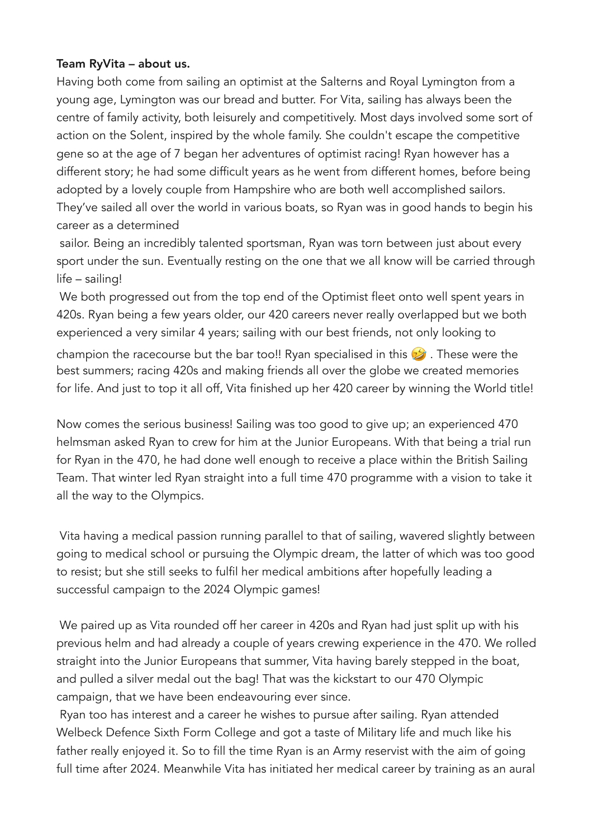## Team RyVita – about us.

Having both come from sailing an optimist at the Salterns and Royal Lymington from a young age, Lymington was our bread and butter. For Vita, sailing has always been the centre of family activity, both leisurely and competitively. Most days involved some sort of action on the Solent, inspired by the whole family. She couldn't escape the competitive gene so at the age of 7 began her adventures of optimist racing! Ryan however has a different story; he had some difficult years as he went from different homes, before being adopted by a lovely couple from Hampshire who are both well accomplished sailors. They've sailed all over the world in various boats, so Ryan was in good hands to begin his career as a determined

 sailor. Being an incredibly talented sportsman, Ryan was torn between just about every sport under the sun. Eventually resting on the one that we all know will be carried through life – sailing!

 We both progressed out from the top end of the Optimist fleet onto well spent years in 420s. Ryan being a few years older, our 420 careers never really overlapped but we both experienced a very similar 4 years; sailing with our best friends, not only looking to

champion the racecourse but the bar too!! Ryan specialised in this  $\mathcal{D}$ . These were the best summers; racing 420s and making friends all over the globe we created memories for life. And just to top it all off, Vita finished up her 420 career by winning the World title!

Now comes the serious business! Sailing was too good to give up; an experienced 470 helmsman asked Ryan to crew for him at the Junior Europeans. With that being a trial run for Ryan in the 470, he had done well enough to receive a place within the British Sailing Team. That winter led Ryan straight into a full time 470 programme with a vision to take it all the way to the Olympics.

 Vita having a medical passion running parallel to that of sailing, wavered slightly between going to medical school or pursuing the Olympic dream, the latter of which was too good to resist; but she still seeks to fulfil her medical ambitions after hopefully leading a successful campaign to the 2024 Olympic games!

 We paired up as Vita rounded off her career in 420s and Ryan had just split up with his previous helm and had already a couple of years crewing experience in the 470. We rolled straight into the Junior Europeans that summer, Vita having barely stepped in the boat, and pulled a silver medal out the bag! That was the kickstart to our 470 Olympic campaign, that we have been endeavouring ever since.

 Ryan too has interest and a career he wishes to pursue after sailing. Ryan attended Welbeck Defence Sixth Form College and got a taste of Military life and much like his father really enjoyed it. So to fill the time Ryan is an Army reservist with the aim of going full time after 2024. Meanwhile Vita has initiated her medical career by training as an aural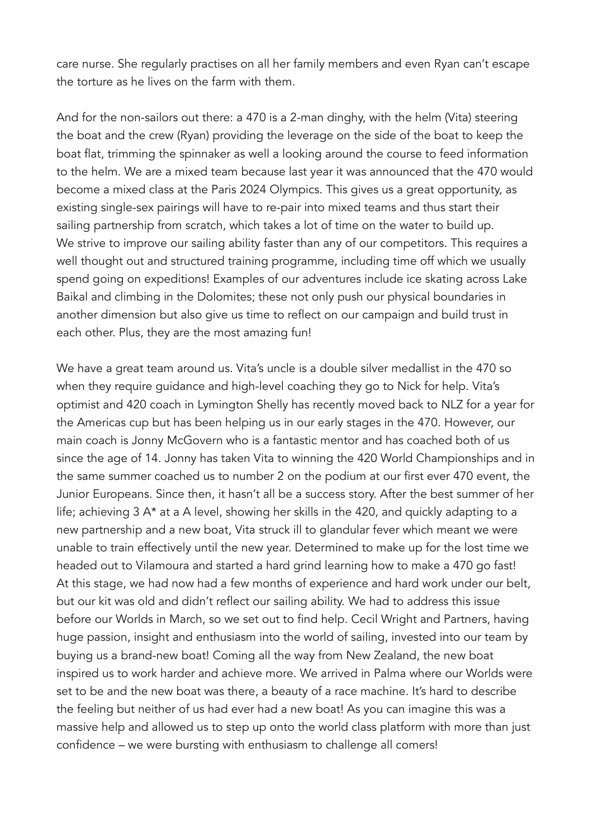care nurse. She regularly practises on all her family members and even Ryan can't escape the torture as he lives on the farm with them.

And for the non-sailors out there: a 470 is a 2-man dinghy, with the helm (Vita) steering the boat and the crew (Ryan) providing the leverage on the side of the boat to keep the boat flat, trimming the spinnaker as well a looking around the course to feed information to the helm. We are a mixed team because last year it was announced that the 470 would become a mixed class at the Paris 2024 Olympics. This gives us a great opportunity, as existing single-sex pairings will have to re-pair into mixed teams and thus start their sailing partnership from scratch, which takes a lot of time on the water to build up. We strive to improve our sailing ability faster than any of our competitors. This requires a well thought out and structured training programme, including time off which we usually spend going on expeditions! Examples of our adventures include ice skating across Lake Baikal and climbing in the Dolomites; these not only push our physical boundaries in another dimension but also give us time to reflect on our campaign and build trust in each other. Plus, they are the most amazing fun!

We have a great team around us. Vita's uncle is a double silver medallist in the 470 so when they require guidance and high-level coaching they go to Nick for help. Vita's optimist and 420 coach in Lymington Shelly has recently moved back to NLZ for a year for the Americas cup but has been helping us in our early stages in the 470. However, our main coach is Jonny McGovern who is a fantastic mentor and has coached both of us since the age of 14. Jonny has taken Vita to winning the 420 World Championships and in the same summer coached us to number 2 on the podium at our first ever 470 event, the Junior Europeans. Since then, it hasn't all be a success story. After the best summer of her life; achieving 3 A\* at a A level, showing her skills in the 420, and quickly adapting to a new partnership and a new boat, Vita struck ill to glandular fever which meant we were unable to train effectively until the new year. Determined to make up for the lost time we headed out to Vilamoura and started a hard grind learning how to make a 470 go fast! At this stage, we had now had a few months of experience and hard work under our belt, but our kit was old and didn't reflect our sailing ability. We had to address this issue before our Worlds in March, so we set out to find help. Cecil Wright and Partners, having huge passion, insight and enthusiasm into the world of sailing, invested into our team by buying us a brand-new boat! Coming all the way from New Zealand, the new boat inspired us to work harder and achieve more. We arrived in Palma where our Worlds were set to be and the new boat was there, a beauty of a race machine. It's hard to describe the feeling but neither of us had ever had a new boat! As you can imagine this was a massive help and allowed us to step up onto the world class platform with more than just confidence – we were bursting with enthusiasm to challenge all comers!